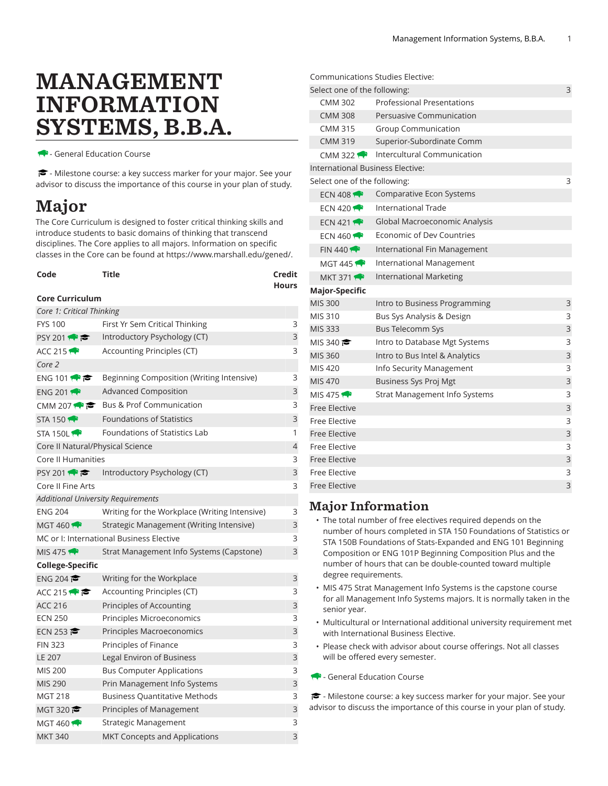# MANAGEMENT INFORMATION SYSTEMS, B.B.A.

- General Education Course

- Milestone course: a key success marker for your major. See your advisor to discuss the importance of this course in your plan of study.

## Major

The Core Curriculum is designed to foster critical thinking skills and introduce students to basic domains of thinking that transcend disciplines. The Core applies to all majors. Information on specific classes in the Core can be found at [https://www.marshall.edu/gened/.](https://www.marshall.edu/gened/)

| Code                                               | Title                                         |   |  |  |  |
|----------------------------------------------------|-----------------------------------------------|---|--|--|--|
| <b>Core Curriculum</b>                             |                                               |   |  |  |  |
| Core 1: Critical Thinking                          |                                               |   |  |  |  |
| <b>FYS 100</b>                                     | First Yr Sem Critical Thinking                |   |  |  |  |
| PSY 201                                            | Introductory Psychology (CT)                  |   |  |  |  |
| ACC 215                                            | Accounting Principles (CT)                    |   |  |  |  |
| Core 2                                             |                                               |   |  |  |  |
| ENG 101                                            | Beginning Composition (Writing Intensive)     |   |  |  |  |
| ENG 201                                            | <b>Advanced Composition</b>                   |   |  |  |  |
| CMM 207 $\leftrightarrow$                          | <b>Bus &amp; Prof Communication</b>           |   |  |  |  |
| <b>STA 150 17</b>                                  | <b>Foundations of Statistics</b>              |   |  |  |  |
| STA 150L                                           | Foundations of Statistics Lab                 | 1 |  |  |  |
| $\overline{4}$<br>Core II Natural/Physical Science |                                               |   |  |  |  |
| Core II Humanities<br>3                            |                                               |   |  |  |  |
| PSY 201                                            | Introductory Psychology (CT)                  | 3 |  |  |  |
| Core II Fine Arts<br>3                             |                                               |   |  |  |  |
|                                                    | <b>Additional University Requirements</b>     |   |  |  |  |
| <b>ENG 204</b>                                     | Writing for the Workplace (Writing Intensive) | 3 |  |  |  |
| MGT 460                                            | Strategic Management (Writing Intensive)      | 3 |  |  |  |
| MC or I: International Business Elective<br>3      |                                               |   |  |  |  |
| MIS 475                                            | Strat Management Info Systems (Capstone)      | 3 |  |  |  |
| College-Specific                                   |                                               |   |  |  |  |
| ENG 204                                            | Writing for the Workplace                     | 3 |  |  |  |
| ACC 215                                            | Accounting Principles (CT)                    | 3 |  |  |  |
| <b>ACC 216</b>                                     | Principles of Accounting                      | 3 |  |  |  |
| <b>ECN 250</b>                                     | Principles Microeconomics                     | 3 |  |  |  |
| ECN 253                                            | Principles Macroeconomics                     | 3 |  |  |  |
| <b>FIN 323</b>                                     | Principles of Finance                         | 3 |  |  |  |
| <b>LE 207</b>                                      | Legal Environ of Business                     |   |  |  |  |
| <b>MIS 200</b>                                     | <b>Bus Computer Applications</b>              |   |  |  |  |
| MIS 290                                            | Prin Management Info Systems                  |   |  |  |  |
| <b>MGT 218</b>                                     | <b>Business Quantitative Methods</b>          |   |  |  |  |
| MGT 320 $\approx$                                  | Principles of Management                      |   |  |  |  |
| <b>MGT 460</b>                                     | Strategic Management                          |   |  |  |  |
| <b>MKT 340</b>                                     | MKT Concepts and Applications                 | 3 |  |  |  |

|                                  | Communications Studies Elective:  |   |
|----------------------------------|-----------------------------------|---|
| Select one of the following:     |                                   | 3 |
| <b>CMM 302</b>                   | <b>Professional Presentations</b> |   |
| <b>CMM 308</b>                   | Persuasive Communication          |   |
| <b>CMM 315</b>                   | <b>Group Communication</b>        |   |
| <b>CMM 319</b>                   | Superior-Subordinate Comm         |   |
| CMM 322 $\rightarrow$            | Intercultural Communication       |   |
| International Business Elective: |                                   |   |
| Select one of the following:     |                                   | 3 |
| ECN 408 $\leftrightarrow$        | Comparative Econ Systems          |   |
| ECN 420 $\rightarrow$            | International Trade               |   |
| ECN 421                          | Global Macroeconomic Analysis     |   |
| ECN 460 $\rightarrow$            | Economic of Dev Countries         |   |
| FIN 440                          | International Fin Management      |   |
| MGT 445 $\bigtriangledown$       | International Management          |   |
| <b>MKT 371</b>                   | <b>International Marketing</b>    |   |
| Major-Specific                   |                                   |   |
| <b>MIS 300</b>                   | Intro to Business Programming     | 3 |
| MIS 310                          | Bus Sys Analysis & Design         | 3 |
| <b>MIS 333</b>                   | <b>Bus Telecomm Sys</b>           | 3 |
| MIS 340 $\approx$                | Intro to Database Mgt Systems     | 3 |
| <b>MIS 360</b>                   | Intro to Bus Intel & Analytics    | 3 |
| MIS 420                          | Info Security Management          | 3 |
| <b>MIS 470</b>                   | <b>Business Sys Proj Mgt</b>      | 3 |
| MIS 475 $\leftrightarrow$        | Strat Management Info Systems     | 3 |
| <b>Free Elective</b>             |                                   | 3 |
| <b>Free Elective</b>             |                                   | 3 |
| <b>Free Elective</b>             |                                   | 3 |
| Free Elective                    |                                   | 3 |
| <b>Free Elective</b>             |                                   | 3 |
| <b>Free Elective</b>             |                                   | 3 |
| <b>Free Elective</b>             |                                   | 3 |

### Major Information

- The total number of free electives required depends on the number of hours completed in STA 150 Foundations of Statistics or STA 150B Foundations of Stats-Expanded and ENG 101 Beginning Composition or ENG 101P Beginning Composition Plus and the number of hours that can be double-counted toward multiple degree requirements.
- MIS 475 Strat Management Info Systems is the capstone course for all Management Info Systems majors. It is normally taken in the senior year.
- Multicultural or International additional university requirement met with International Business Elective.
- Please check with advisor about course offerings. Not all classes will be offered every semester.
- General Education Course

- Milestone course: a key success marker for your major. See your advisor to discuss the importance of this course in your plan of study.